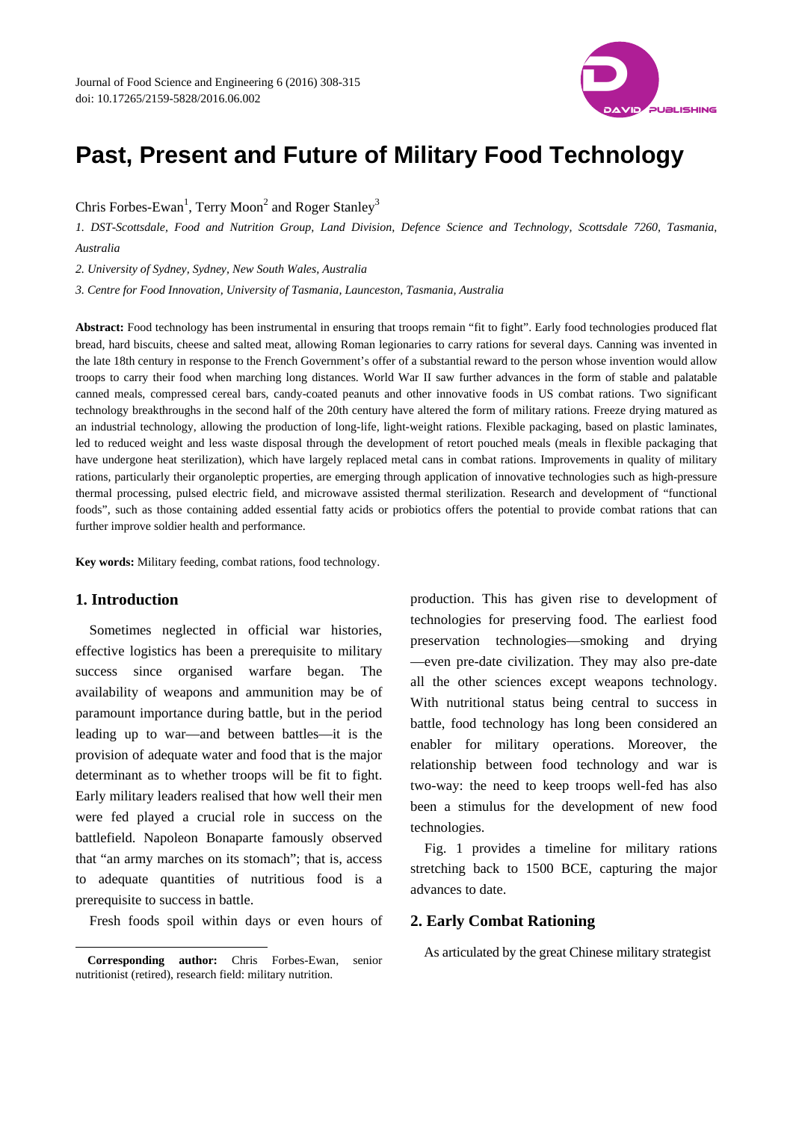# **Past, Present and Future of Military Food Technology**

Chris Forbes-Ewan<sup>1</sup>, Terry Moon<sup>2</sup> and Roger Stanley<sup>3</sup>

*1. DST-Scottsdale, Food and Nutrition Group, Land Division, Defence Science and Technology, Scottsdale 7260, Tasmania, Australia* 

*2. University of Sydney, Sydney, New South Wales, Australia* 

*3. Centre for Food Innovation, University of Tasmania, Launceston, Tasmania, Australia* 

**Abstract:** Food technology has been instrumental in ensuring that troops remain "fit to fight". Early food technologies produced flat bread, hard biscuits, cheese and salted meat, allowing Roman legionaries to carry rations for several days. Canning was invented in the late 18th century in response to the French Government's offer of a substantial reward to the person whose invention would allow troops to carry their food when marching long distances. World War II saw further advances in the form of stable and palatable canned meals, compressed cereal bars, candy-coated peanuts and other innovative foods in US combat rations. Two significant technology breakthroughs in the second half of the 20th century have altered the form of military rations. Freeze drying matured as an industrial technology, allowing the production of long-life, light-weight rations. Flexible packaging, based on plastic laminates, led to reduced weight and less waste disposal through the development of retort pouched meals (meals in flexible packaging that have undergone heat sterilization), which have largely replaced metal cans in combat rations. Improvements in quality of military rations, particularly their organoleptic properties, are emerging through application of innovative technologies such as high-pressure thermal processing, pulsed electric field, and microwave assisted thermal sterilization. Research and development of "functional foods", such as those containing added essential fatty acids or probiotics offers the potential to provide combat rations that can further improve soldier health and performance.

**Key words:** Military feeding, combat rations, food technology.

## **1. Introduction**

 $\overline{a}$ 

Sometimes neglected in official war histories, effective logistics has been a prerequisite to military success since organised warfare began. The availability of weapons and ammunition may be of paramount importance during battle, but in the period leading up to war—and between battles—it is the provision of adequate water and food that is the major determinant as to whether troops will be fit to fight. Early military leaders realised that how well their men were fed played a crucial role in success on the battlefield. Napoleon Bonaparte famously observed that "an army marches on its stomach"; that is, access to adequate quantities of nutritious food is a prerequisite to success in battle.

Fresh foods spoil within days or even hours of

production. This has given rise to development of technologies for preserving food. The earliest food preservation technologies—smoking and drying —even pre-date civilization. They may also pre-date all the other sciences except weapons technology. With nutritional status being central to success in battle, food technology has long been considered an enabler for military operations. Moreover, the relationship between food technology and war is two-way: the need to keep troops well-fed has also been a stimulus for the development of new food technologies.

Fig. 1 provides a timeline for military rations stretching back to 1500 BCE, capturing the major advances to date.

#### **2. Early Combat Rationing**

As articulated by the great Chinese military strategist



**Corresponding author:** Chris Forbes-Ewan, senior nutritionist (retired), research field: military nutrition.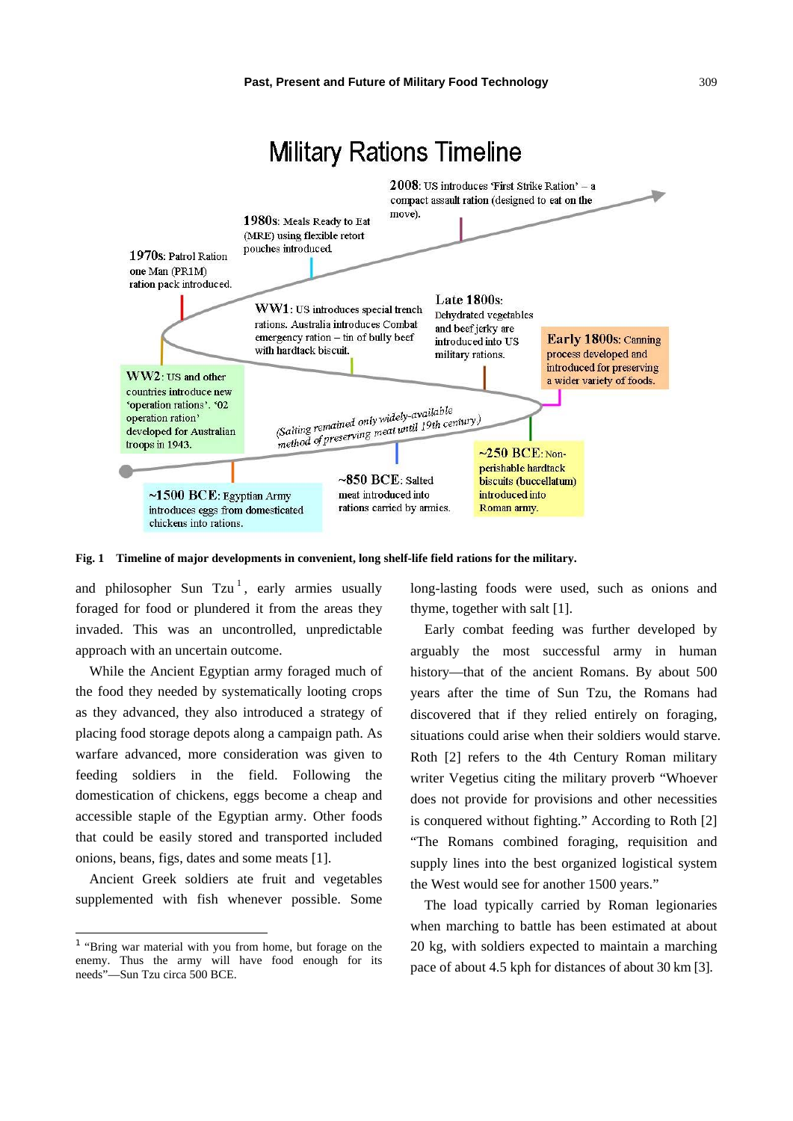

 $~1500$  BCE: Egyptian Army introduces eggs from domesticated chickens into rations.

**Fig. 1 Timeline of major developments in convenient, long shelf-life field rations for the military.** 

 $\sim850$  BCE: Salted

meat introduced into

rations carried by armies.

and philosopher Sun  $Tzu<sup>1</sup>$ , early armies usually foraged for food or plundered it from the areas they invaded. This was an uncontrolled, unpredictable approach with an uncertain outcome.

While the Ancient Egyptian army foraged much of the food they needed by systematically looting crops as they advanced, they also introduced a strategy of placing food storage depots along a campaign path. As warfare advanced, more consideration was given to feeding soldiers in the field. Following the domestication of chickens, eggs become a cheap and accessible staple of the Egyptian army. Other foods that could be easily stored and transported included onions, beans, figs, dates and some meats [1].

Ancient Greek soldiers ate fruit and vegetables supplemented with fish whenever possible. Some

 $\overline{a}$ 

long-lasting foods were used, such as onions and thyme, together with salt [1].

perishable hardtack

introduced into

Roman army.

biscuits (buccellatum)

Early combat feeding was further developed by arguably the most successful army in human history—that of the ancient Romans. By about 500 years after the time of Sun Tzu, the Romans had discovered that if they relied entirely on foraging, situations could arise when their soldiers would starve. Roth [2] refers to the 4th Century Roman military writer Vegetius citing the military proverb "Whoever does not provide for provisions and other necessities is conquered without fighting." According to Roth [2] "The Romans combined foraging, requisition and supply lines into the best organized logistical system the West would see for another 1500 years."

The load typically carried by Roman legionaries when marching to battle has been estimated at about 20 kg, with soldiers expected to maintain a marching pace of about 4.5 kph for distances of about 30 km [3].

<sup>1</sup> "Bring war material with you from home, but forage on the enemy. Thus the army will have food enough for its needs"—Sun Tzu circa 500 BCE.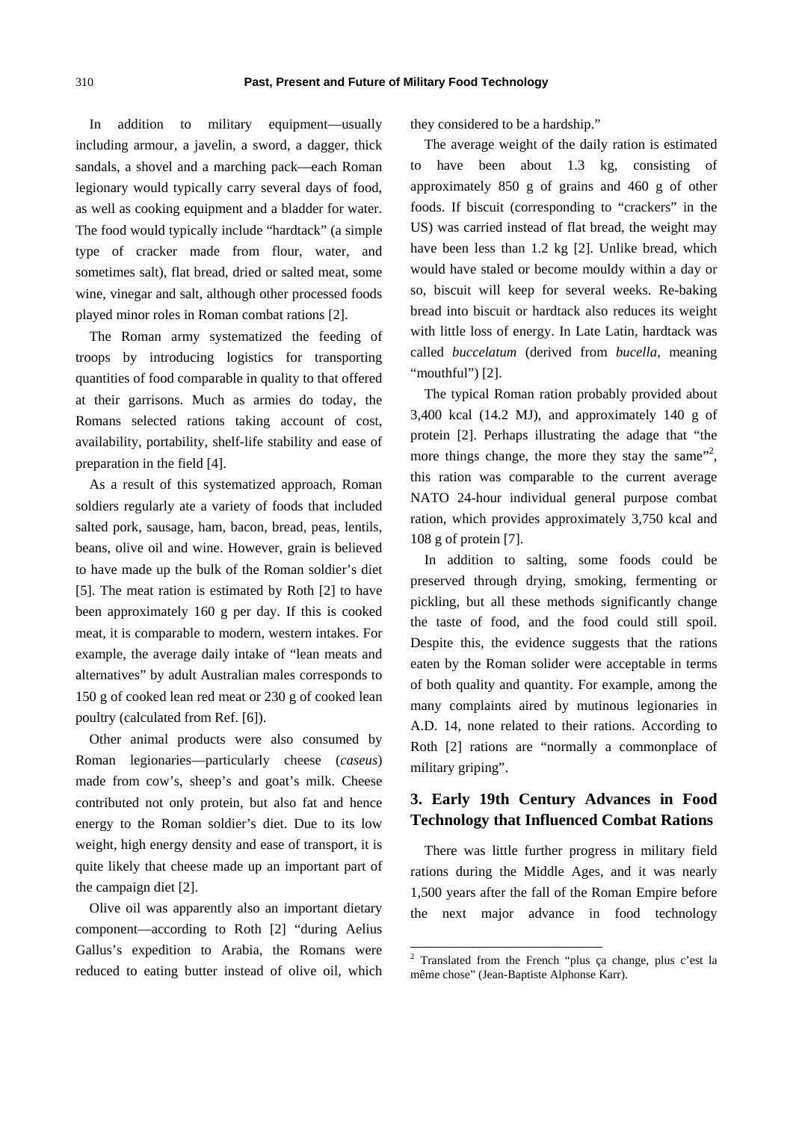In addition to military equipment—usually including armour, a javelin, a sword, a dagger, thick sandals, a shovel and a marching pack—each Roman legionary would typically carry several days of food, as well as cooking equipment and a bladder for water. The food would typically include "hardtack" (a simple type of cracker made from flour, water, and sometimes salt), flat bread, dried or salted meat, some wine, vinegar and salt, although other processed foods played minor roles in Roman combat rations [2].

The Roman army systematized the feeding of troops by introducing logistics for transporting quantities of food comparable in quality to that offered at their garrisons. Much as armies do today, the Romans selected rations taking account of cost, availability, portability, shelf-life stability and ease of preparation in the field [4].

As a result of this systematized approach, Roman soldiers regularly ate a variety of foods that included salted pork, sausage, ham, bacon, bread, peas, lentils, beans, olive oil and wine. However, grain is believed to have made up the bulk of the Roman soldier's diet [5]. The meat ration is estimated by Roth [2] to have been approximately 160 g per day. If this is cooked meat, it is comparable to modern, western intakes. For example, the average daily intake of "lean meats and alternatives" by adult Australian males corresponds to 150 g of cooked lean red meat or 230 g of cooked lean poultry (calculated from Ref. [6]).

Other animal products were also consumed by Roman legionaries—particularly cheese (*caseus*) made from cow's, sheep's and goat's milk. Cheese contributed not only protein, but also fat and hence energy to the Roman soldier's diet. Due to its low weight, high energy density and ease of transport, it is quite likely that cheese made up an important part of the campaign diet [2].

Olive oil was apparently also an important dietary component—according to Roth [2] "during Aelius Gallus's expedition to Arabia, the Romans were reduced to eating butter instead of olive oil, which they considered to be a hardship."

The average weight of the daily ration is estimated to have been about 1.3 kg, consisting of approximately 850 g of grains and 460 g of other foods. If biscuit (corresponding to "crackers" in the US) was carried instead of flat bread, the weight may have been less than 1.2 kg [2]. Unlike bread, which would have staled or become mouldy within a day or so, biscuit will keep for several weeks. Re-baking bread into biscuit or hardtack also reduces its weight with little loss of energy. In Late Latin, hardtack was called *buccelatum* (derived from *bucella*, meaning "mouthful") [2].

The typical Roman ration probably provided about 3,400 kcal (14.2 MJ), and approximately 140 g of protein [2]. Perhaps illustrating the adage that "the more things change, the more they stay the same"<sup>2</sup>, this ration was comparable to the current average NATO 24-hour individual general purpose combat ration, which provides approximately 3,750 kcal and 108 g of protein [7].

In addition to salting, some foods could be preserved through drying, smoking, fermenting or pickling, but all these methods significantly change the taste of food, and the food could still spoil. Despite this, the evidence suggests that the rations eaten by the Roman solider were acceptable in terms of both quality and quantity. For example, among the many complaints aired by mutinous legionaries in A.D. 14, none related to their rations. According to Roth [2] rations are "normally a commonplace of military griping".

## **3. Early 19th Century Advances in Food Technology that Influenced Combat Rations**

There was little further progress in military field rations during the Middle Ages, and it was nearly 1,500 years after the fall of the Roman Empire before the next major advance in food technology

 2 Translated from the French "plus ça change, plus c'est la même chose" (Jean-Baptiste Alphonse Karr).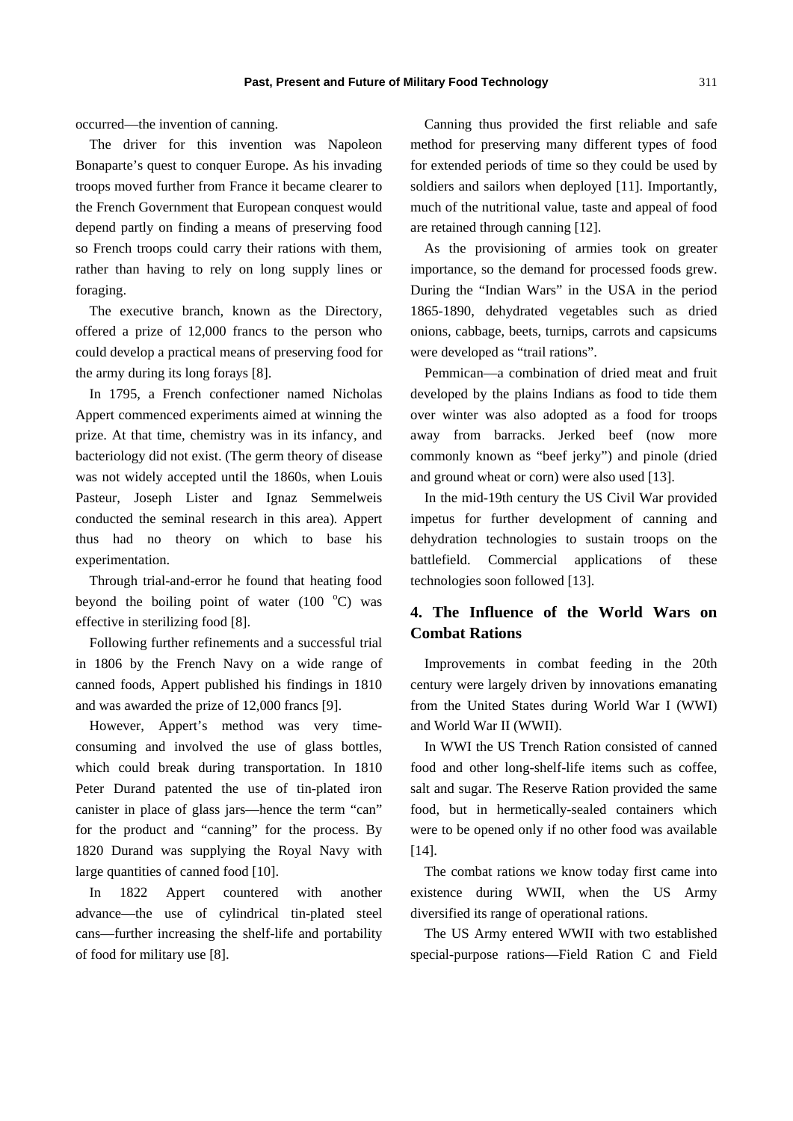occurred—the invention of canning.

The driver for this invention was Napoleon Bonaparte's quest to conquer Europe. As his invading troops moved further from France it became clearer to the French Government that European conquest would depend partly on finding a means of preserving food so French troops could carry their rations with them, rather than having to rely on long supply lines or foraging.

The executive branch, known as the Directory, offered a prize of 12,000 francs to the person who could develop a practical means of preserving food for the army during its long forays [8].

In 1795, a French confectioner named Nicholas Appert commenced experiments aimed at winning the prize. At that time, chemistry was in its infancy, and bacteriology did not exist. (The germ theory of disease was not widely accepted until the 1860s, when Louis Pasteur, Joseph Lister and Ignaz Semmelweis conducted the seminal research in this area)*.* Appert thus had no theory on which to base his experimentation.

Through trial-and-error he found that heating food beyond the boiling point of water  $(100<sup>o</sup>C)$  was effective in sterilizing food [8].

Following further refinements and a successful trial in 1806 by the French Navy on a wide range of canned foods, Appert published his findings in 1810 and was awarded the prize of 12,000 francs [9].

However, Appert's method was very timeconsuming and involved the use of glass bottles, which could break during transportation. In 1810 Peter Durand patented the use of tin-plated iron canister in place of glass jars—hence the term "can" for the product and "canning" for the process. By 1820 Durand was supplying the Royal Navy with large quantities of canned food [10].

In 1822 Appert countered with another advance—the use of cylindrical tin-plated steel cans—further increasing the shelf-life and portability of food for military use [8].

Canning thus provided the first reliable and safe method for preserving many different types of food for extended periods of time so they could be used by soldiers and sailors when deployed [11]. Importantly, much of the nutritional value, taste and appeal of food are retained through canning [12].

As the provisioning of armies took on greater importance, so the demand for processed foods grew. During the "Indian Wars" in the USA in the period 1865-1890, dehydrated vegetables such as dried onions, cabbage, beets, turnips, carrots and capsicums were developed as "trail rations".

Pemmican—a combination of dried meat and fruit developed by the plains Indians as food to tide them over winter was also adopted as a food for troops away from barracks. Jerked beef (now more commonly known as "beef jerky") and pinole (dried and ground wheat or corn) were also used [13].

In the mid-19th century the US Civil War provided impetus for further development of canning and dehydration technologies to sustain troops on the battlefield. Commercial applications of these technologies soon followed [13].

## **4. The Influence of the World Wars on Combat Rations**

Improvements in combat feeding in the 20th century were largely driven by innovations emanating from the United States during World War I (WWI) and World War II (WWII).

In WWI the US Trench Ration consisted of canned food and other long-shelf-life items such as coffee, salt and sugar. The Reserve Ration provided the same food, but in hermetically-sealed containers which were to be opened only if no other food was available [14].

The combat rations we know today first came into existence during WWII, when the US Army diversified its range of operational rations.

The US Army entered WWII with two established special-purpose rations—Field Ration C and Field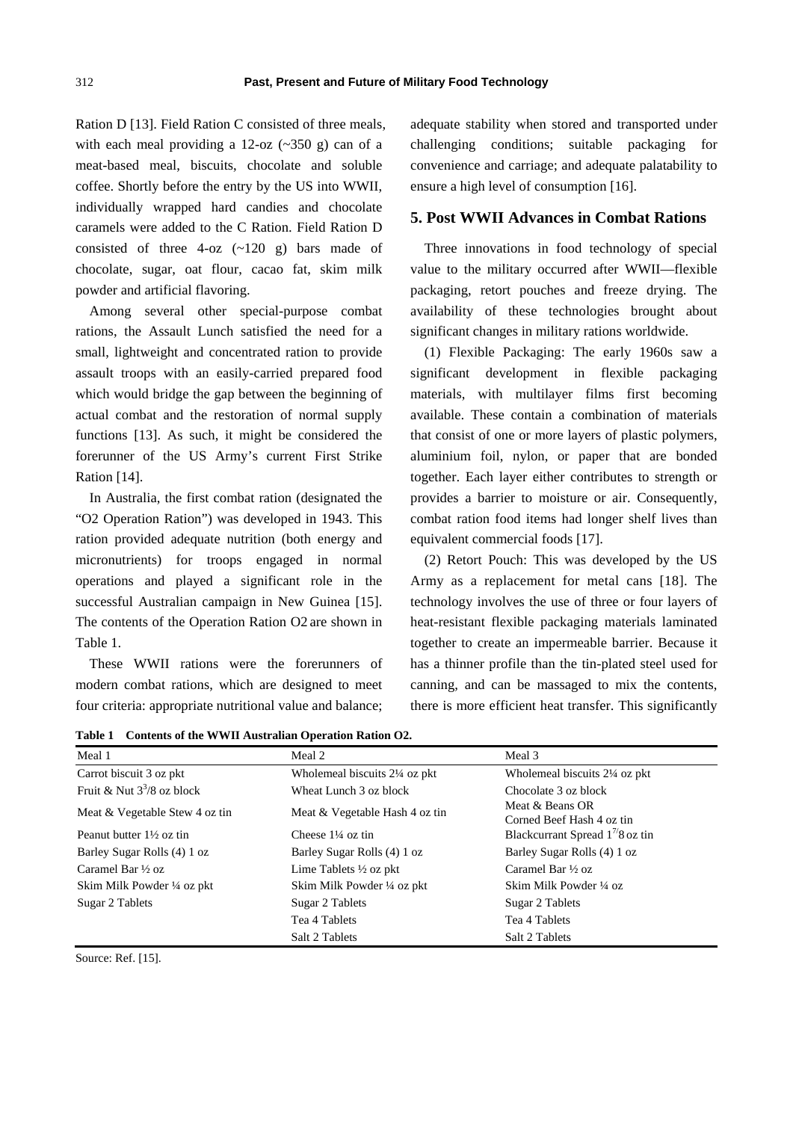Ration D [13]. Field Ration C consisted of three meals, with each meal providing a  $12$ -oz ( $\sim$ 350 g) can of a meat-based meal, biscuits, chocolate and soluble coffee. Shortly before the entry by the US into WWII, individually wrapped hard candies and chocolate caramels were added to the C Ration. Field Ration D consisted of three  $4$ -oz  $(-120 \text{ g})$  bars made of chocolate, sugar, oat flour, cacao fat, skim milk powder and artificial flavoring.

Among several other special-purpose combat rations, the Assault Lunch satisfied the need for a small, lightweight and concentrated ration to provide assault troops with an easily-carried prepared food which would bridge the gap between the beginning of actual combat and the restoration of normal supply functions [13]. As such, it might be considered the forerunner of the US Army's current First Strike Ration [14].

In Australia, the first combat ration (designated the "O2 Operation Ration") was developed in 1943. This ration provided adequate nutrition (both energy and micronutrients) for troops engaged in normal operations and played a significant role in the successful Australian campaign in New Guinea [15]. The contents of the Operation Ration O2 are shown in Table 1.

These WWII rations were the forerunners of modern combat rations, which are designed to meet four criteria: appropriate nutritional value and balance;

adequate stability when stored and transported under challenging conditions; suitable packaging for convenience and carriage; and adequate palatability to ensure a high level of consumption [16].

## **5. Post WWII Advances in Combat Rations**

Three innovations in food technology of special value to the military occurred after WWII—flexible packaging, retort pouches and freeze drying. The availability of these technologies brought about significant changes in military rations worldwide.

(1) Flexible Packaging: The early 1960s saw a significant development in flexible packaging materials, with multilayer films first becoming available. These contain a combination of materials that consist of one or more layers of plastic polymers, aluminium foil, nylon, or paper that are bonded together. Each layer either contributes to strength or provides a barrier to moisture or air. Consequently, combat ration food items had longer shelf lives than equivalent commercial foods [17].

(2) Retort Pouch: This was developed by the US Army as a replacement for metal cans [18]. The technology involves the use of three or four layers of heat-resistant flexible packaging materials laminated together to create an impermeable barrier. Because it has a thinner profile than the tin-plated steel used for canning, and can be massaged to mix the contents, there is more efficient heat transfer. This significantly

**Table 1 Contents of the WWII Australian Operation Ration O2.** 

| Meal 1                              | Meal 2                            | Meal 3                                       |
|-------------------------------------|-----------------------------------|----------------------------------------------|
| Carrot biscuit 3 oz pkt             | Wholemeal biscuits 2¼ oz pkt      | Wholemeal biscuits 2¼ oz pkt                 |
| Fruit & Nut $3^3/8$ oz block        | Wheat Lunch 3 oz block            | Chocolate 3 oz block                         |
| Meat & Vegetable Stew 4 oz tin      | Meat & Vegetable Hash 4 oz tin    | Meat & Beans OR<br>Corned Beef Hash 4 oz tin |
| Peanut butter $1\frac{1}{2}$ oz tin | Cheese $1\frac{1}{4}$ oz tin      | Blackcurrant Spread $1^{\frac{7}{8}}$ oz tin |
| Barley Sugar Rolls (4) 1 oz         | Barley Sugar Rolls (4) 1 oz       | Barley Sugar Rolls (4) 1 oz                  |
| Caramel Bar $\frac{1}{2}$ oz        | Lime Tablets $\frac{1}{2}$ oz pkt | Caramel Bar $\frac{1}{2}$ oz                 |
| Skim Milk Powder ¼ oz pkt           | Skim Milk Powder ¼ oz pkt         | Skim Milk Powder 1/4 oz                      |
| Sugar 2 Tablets                     | Sugar 2 Tablets                   | Sugar 2 Tablets                              |
|                                     | Tea 4 Tablets                     | Tea 4 Tablets                                |
|                                     | Salt 2 Tablets                    | Salt 2 Tablets                               |

Source: Ref. [15].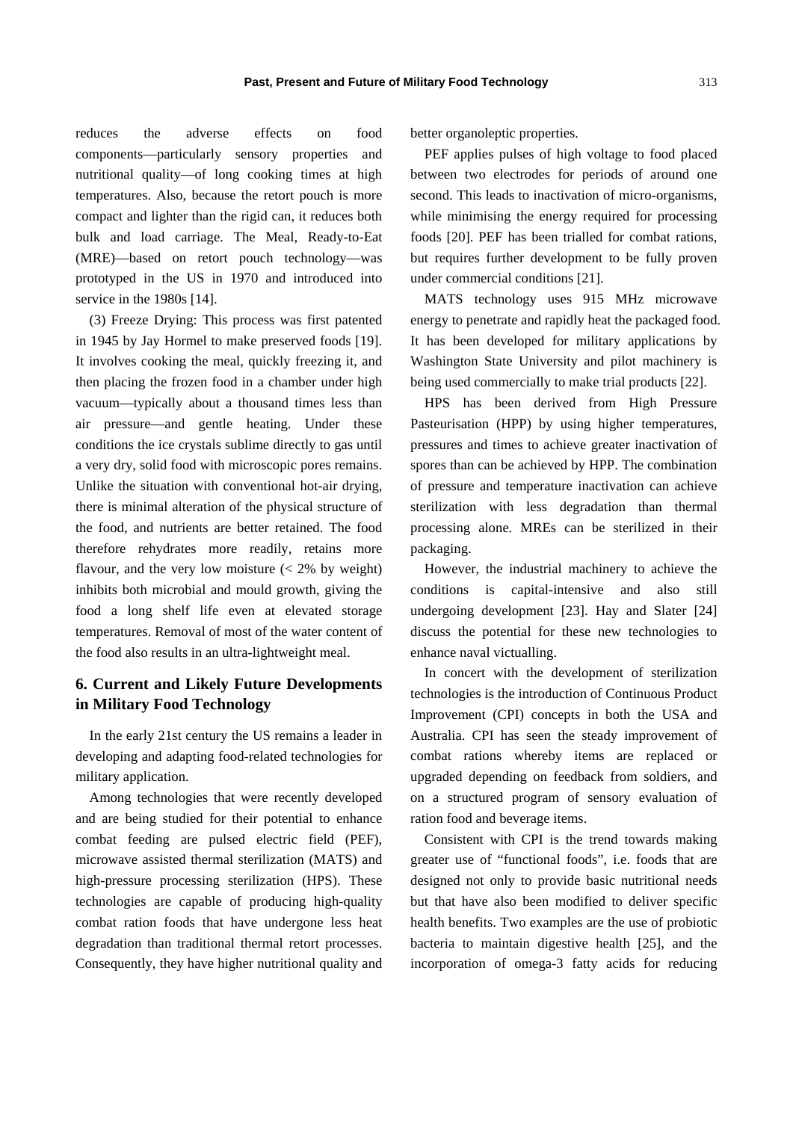reduces the adverse effects on food components—particularly sensory properties and nutritional quality—of long cooking times at high temperatures. Also, because the retort pouch is more compact and lighter than the rigid can, it reduces both bulk and load carriage. The Meal, Ready-to-Eat (MRE)—based on retort pouch technology—was prototyped in the US in 1970 and introduced into service in the 1980s [14].

(3) Freeze Drying: This process was first patented in 1945 by Jay Hormel to make preserved foods [19]. It involves cooking the meal, quickly freezing it, and then placing the frozen food in a chamber under high vacuum—typically about a thousand times less than air pressure—and gentle heating. Under these conditions the ice crystals sublime directly to gas until a very dry, solid food with microscopic pores remains. Unlike the situation with conventional hot-air drying, there is minimal alteration of the physical structure of the food, and nutrients are better retained. The food therefore rehydrates more readily, retains more flavour, and the very low moisture  $\ll$  2% by weight) inhibits both microbial and mould growth, giving the food a long shelf life even at elevated storage temperatures. Removal of most of the water content of the food also results in an ultra-lightweight meal.

## **6. Current and Likely Future Developments in Military Food Technology**

In the early 21st century the US remains a leader in developing and adapting food-related technologies for military application.

Among technologies that were recently developed and are being studied for their potential to enhance combat feeding are pulsed electric field (PEF), microwave assisted thermal sterilization (MATS) and high-pressure processing sterilization (HPS). These technologies are capable of producing high-quality combat ration foods that have undergone less heat degradation than traditional thermal retort processes. Consequently, they have higher nutritional quality and better organoleptic properties.

PEF applies pulses of high voltage to food placed between two electrodes for periods of around one second. This leads to inactivation of micro-organisms, while minimising the energy required for processing foods [20]. PEF has been trialled for combat rations, but requires further development to be fully proven under commercial conditions [21].

MATS technology uses 915 MHz microwave energy to penetrate and rapidly heat the packaged food. It has been developed for military applications by Washington State University and pilot machinery is being used commercially to make trial products [22].

HPS has been derived from High Pressure Pasteurisation (HPP) by using higher temperatures, pressures and times to achieve greater inactivation of spores than can be achieved by HPP. The combination of pressure and temperature inactivation can achieve sterilization with less degradation than thermal processing alone. MREs can be sterilized in their packaging.

However, the industrial machinery to achieve the conditions is capital-intensive and also still undergoing development [23]. Hay and Slater [24] discuss the potential for these new technologies to enhance naval victualling.

In concert with the development of sterilization technologies is the introduction of Continuous Product Improvement (CPI) concepts in both the USA and Australia. CPI has seen the steady improvement of combat rations whereby items are replaced or upgraded depending on feedback from soldiers, and on a structured program of sensory evaluation of ration food and beverage items.

Consistent with CPI is the trend towards making greater use of "functional foods", i.e. foods that are designed not only to provide basic nutritional needs but that have also been modified to deliver specific health benefits. Two examples are the use of probiotic bacteria to maintain digestive health [25], and the incorporation of omega-3 fatty acids for reducing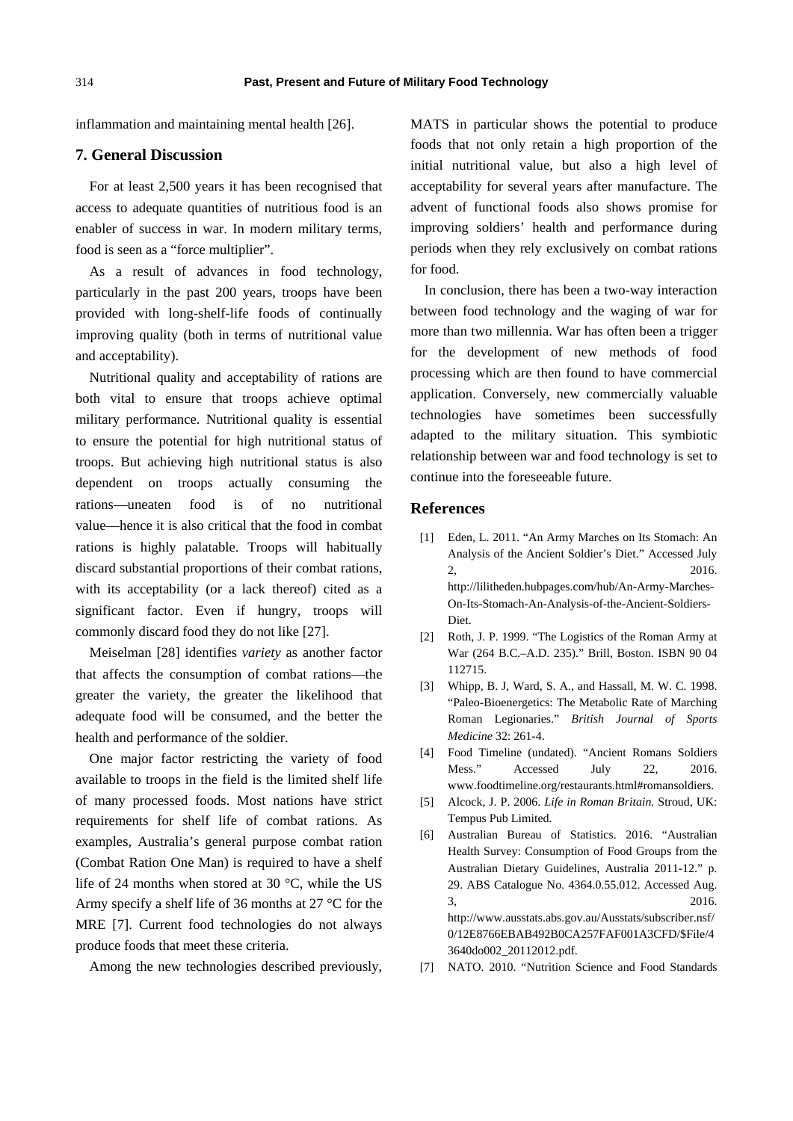inflammation and maintaining mental health [26].

#### **7. General Discussion**

For at least 2,500 years it has been recognised that access to adequate quantities of nutritious food is an enabler of success in war. In modern military terms, food is seen as a "force multiplier".

As a result of advances in food technology, particularly in the past 200 years, troops have been provided with long-shelf-life foods of continually improving quality (both in terms of nutritional value and acceptability).

Nutritional quality and acceptability of rations are both vital to ensure that troops achieve optimal military performance. Nutritional quality is essential to ensure the potential for high nutritional status of troops. But achieving high nutritional status is also dependent on troops actually consuming the rations—uneaten food is of no nutritional value—hence it is also critical that the food in combat rations is highly palatable. Troops will habitually discard substantial proportions of their combat rations, with its acceptability (or a lack thereof) cited as a significant factor. Even if hungry, troops will commonly discard food they do not like [27].

Meiselman [28] identifies *variety* as another factor that affects the consumption of combat rations—the greater the variety, the greater the likelihood that adequate food will be consumed, and the better the health and performance of the soldier.

One major factor restricting the variety of food available to troops in the field is the limited shelf life of many processed foods. Most nations have strict requirements for shelf life of combat rations. As examples, Australia's general purpose combat ration (Combat Ration One Man) is required to have a shelf life of 24 months when stored at 30 °C, while the US Army specify a shelf life of 36 months at 27 °C for the MRE [7]. Current food technologies do not always produce foods that meet these criteria.

Among the new technologies described previously,

MATS in particular shows the potential to produce foods that not only retain a high proportion of the initial nutritional value, but also a high level of acceptability for several years after manufacture. The advent of functional foods also shows promise for improving soldiers' health and performance during periods when they rely exclusively on combat rations for food.

In conclusion, there has been a two-way interaction between food technology and the waging of war for more than two millennia. War has often been a trigger for the development of new methods of food processing which are then found to have commercial application. Conversely, new commercially valuable technologies have sometimes been successfully adapted to the military situation. This symbiotic relationship between war and food technology is set to continue into the foreseeable future.

#### **References**

- [1] Eden, L. 2011. "An Army Marches on Its Stomach: An Analysis of the Ancient Soldier's Diet." Accessed July 2, 2016. http://lilitheden.hubpages.com/hub/An-Army-Marches-On-Its-Stomach-An-Analysis-of-the-Ancient-Soldiers-Diet.
- [2] Roth, J. P. 1999. "The Logistics of the Roman Army at War (264 B.C.–A.D. 235)." Brill, Boston. ISBN 90 04 112715.
- [3] Whipp, B. J, Ward, S. A., and Hassall, M. W. C. 1998. "Paleo-Bioenergetics: The Metabolic Rate of Marching Roman Legionaries." *British Journal of Sports Medicine* 32: 261-4.
- [4] Food Timeline (undated). "Ancient Romans Soldiers Mess." Accessed July 22, 2016. www.foodtimeline.org/restaurants.html#romansoldiers.
- [5] Alcock, J. P. 2006. *Life in Roman Britain.* Stroud, UK: Tempus Pub Limited.
- [6] Australian Bureau of Statistics. 2016. "Australian Health Survey: Consumption of Food Groups from the Australian Dietary Guidelines, Australia 2011-12." p. 29. ABS Catalogue No. 4364.0.55.012. Accessed Aug. 3, 2016. http://www.ausstats.abs.gov.au/Ausstats/subscriber.nsf/ 0/12E8766EBAB492B0CA257FAF001A3CFD/\$File/4 3640do002\_20112012.pdf.
- [7] NATO. 2010. "Nutrition Science and Food Standards